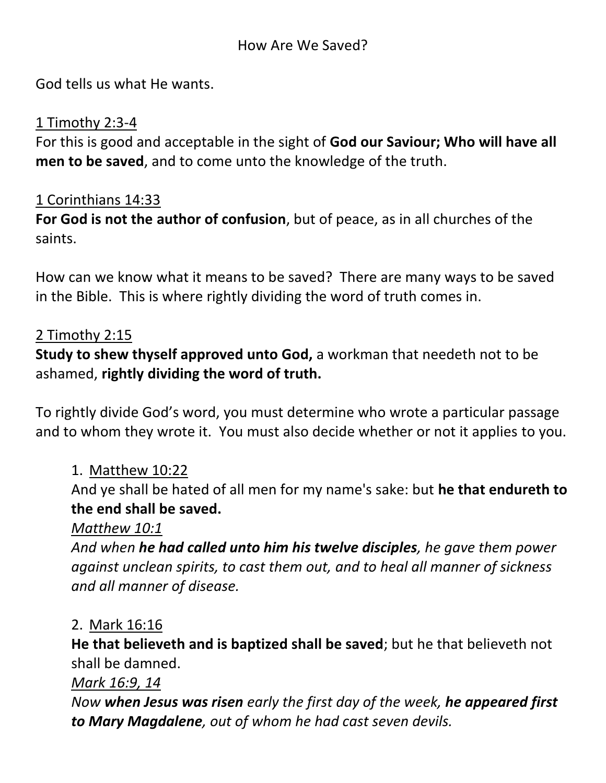God tells us what He wants.

### 1 Timothy 2:3-4

For this is good and acceptable in the sight of **God our Saviour; Who will have all men to be saved**, and to come unto the knowledge of the truth.

### 1 Corinthians 14:33

**For God is not the author of confusion**, but of peace, as in all churches of the saints.

How can we know what it means to be saved? There are many ways to be saved in the Bible. This is where rightly dividing the word of truth comes in.

### 2 Timothy 2:15

**Study to shew thyself approved unto God,** a workman that needeth not to be ashamed, **rightly dividing the word of truth.**

To rightly divide God's word, you must determine who wrote a particular passage and to whom they wrote it. You must also decide whether or not it applies to you.

### 1. Matthew 10:22

And ye shall be hated of all men for my name's sake: but **he that endureth to the end shall be saved.**

### *Matthew 10:1*

*And when he had called unto him his twelve disciples, he gave them power against unclean spirits, to cast them out, and to heal all manner of sickness and all manner of disease.*

#### 2. Mark 16:16

**He that believeth and is baptized shall be saved**; but he that believeth not shall be damned.

#### *Mark 16:9, 14*

*Now when Jesus was risen early the first day of the week, he appeared first to Mary Magdalene, out of whom he had cast seven devils.*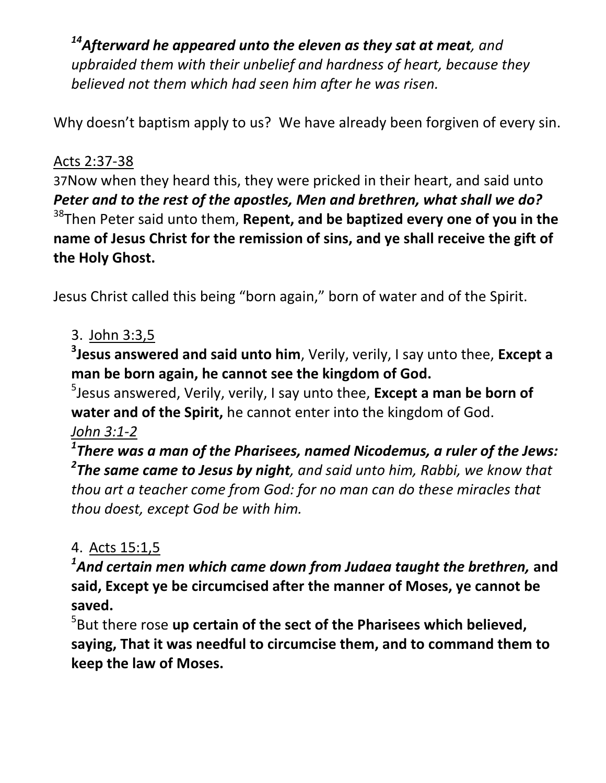*<sup>14</sup>Afterward he appeared unto the eleven as they sat at meat, and upbraided them with their unbelief and hardness of heart, because they believed not them which had seen him after he was risen.*

Why doesn't baptism apply to us? We have already been forgiven of every sin.

### Acts 2:37-38

37Now when they heard this, they were pricked in their heart, and said unto *Peter and to the rest of the apostles, Men and brethren, what shall we do?* <sup>38</sup>Then Peter said unto them, **Repent, and be baptized every one of you in the name of Jesus Christ for the remission of sins, and ye shall receive the gift of the Holy Ghost.**

Jesus Christ called this being "born again," born of water and of the Spirit.

### 3. John 3:3,5

**3 Jesus answered and said unto him**, Verily, verily, I say unto thee, **Except a man be born again, he cannot see the kingdom of God.**

5 Jesus answered, Verily, verily, I say unto thee, **Except a man be born of water and of the Spirit,** he cannot enter into the kingdom of God. *John 3:1-2*

*1 There was a man of the Pharisees, named Nicodemus, a ruler of the Jews: 2 The same came to Jesus by night, and said unto him, Rabbi, we know that thou art a teacher come from God: for no man can do these miracles that thou doest, except God be with him.*

# 4. Acts 15:1,5

*1 And certain men which came down from Judaea taught the brethren,* **and said, Except ye be circumcised after the manner of Moses, ye cannot be saved.**

5 But there rose **up certain of the sect of the Pharisees which believed, saying, That it was needful to circumcise them, and to command them to keep the law of Moses.**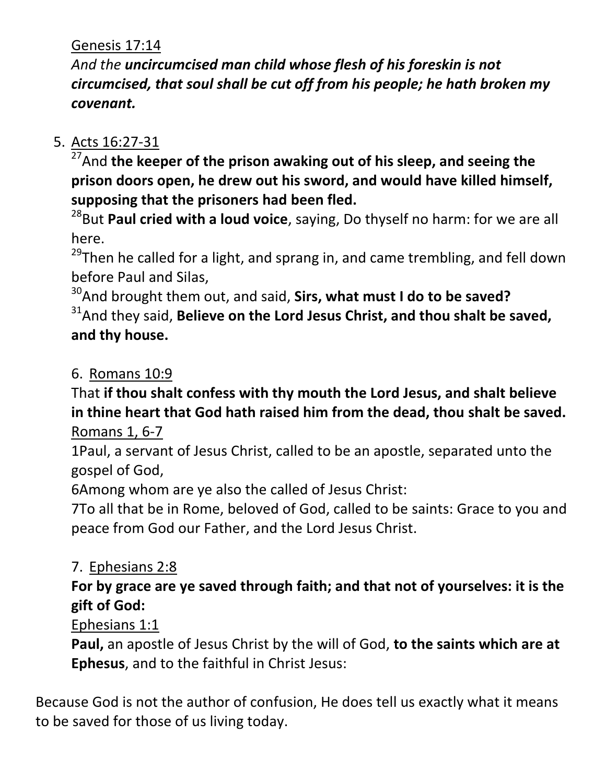Genesis 17:14

*And the uncircumcised man child whose flesh of his foreskin is not circumcised, that soul shall be cut off from his people; he hath broken my covenant.*

# 5. Acts 16:27-31

 $\overline{^{27}}$ And the keeper of the prison awaking out of his sleep, and seeing the **prison doors open, he drew out his sword, and would have killed himself, supposing that the prisoners had been fled.**

<sup>28</sup>But **Paul cried with a loud voice**, saying, Do thyself no harm: for we are all here.

<sup>29</sup>Then he called for a light, and sprang in, and came trembling, and fell down before Paul and Silas,

<sup>30</sup>And brought them out, and said, **Sirs, what must I do to be saved?** <sup>31</sup> And they said, **Believe on the Lord Jesus Christ, and thou shalt be saved, and thy house.**

6. Romans 10:9

That **if thou shalt confess with thy mouth the Lord Jesus, and shalt believe in thine heart that God hath raised him from the dead, thou shalt be saved.** Romans 1, 6-7

1Paul, a servant of Jesus Christ, called to be an apostle, separated unto the gospel of God,

6Among whom are ye also the called of Jesus Christ:

7To all that be in Rome, beloved of God, called to be saints: Grace to you and peace from God our Father, and the Lord Jesus Christ.

# 7. Ephesians 2:8

# **For by grace are ye saved through faith; and that not of yourselves: it is the gift of God:**

Ephesians 1:1

**Paul,** an apostle of Jesus Christ by the will of God, **to the saints which are at Ephesus**, and to the faithful in Christ Jesus:

Because God is not the author of confusion, He does tell us exactly what it means to be saved for those of us living today.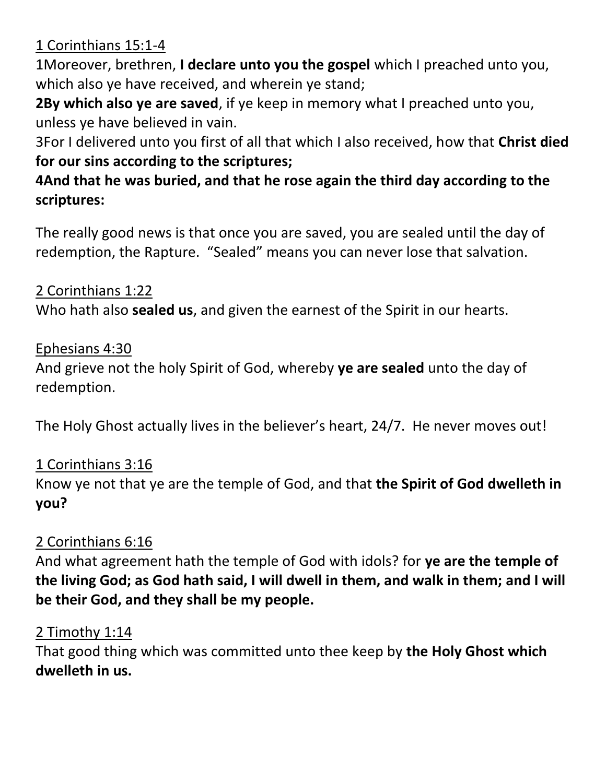1 Corinthians 15:1-4

1Moreover, brethren, **I declare unto you the gospel** which I preached unto you, which also ye have received, and wherein ye stand;

**2By which also ye are saved**, if ye keep in memory what I preached unto you, unless ye have believed in vain.

3For I delivered unto you first of all that which I also received, how that **Christ died for our sins according to the scriptures;**

# **4And that he was buried, and that he rose again the third day according to the scriptures:**

The really good news is that once you are saved, you are sealed until the day of redemption, the Rapture. "Sealed" means you can never lose that salvation.

### 2 Corinthians 1:22

Who hath also **sealed us**, and given the earnest of the Spirit in our hearts.

### Ephesians 4:30

And grieve not the holy Spirit of God, whereby **ye are sealed** unto the day of redemption.

The Holy Ghost actually lives in the believer's heart, 24/7. He never moves out!

# 1 Corinthians 3:16

Know ye not that ye are the temple of God, and that **the Spirit of God dwelleth in you?**

# 2 Corinthians 6:16

And what agreement hath the temple of God with idols? for **ye are the temple of the living God; as God hath said, I will dwell in them, and walk in them; and I will be their God, and they shall be my people.**

### 2 Timothy 1:14

That good thing which was committed unto thee keep by **the Holy Ghost which dwelleth in us.**